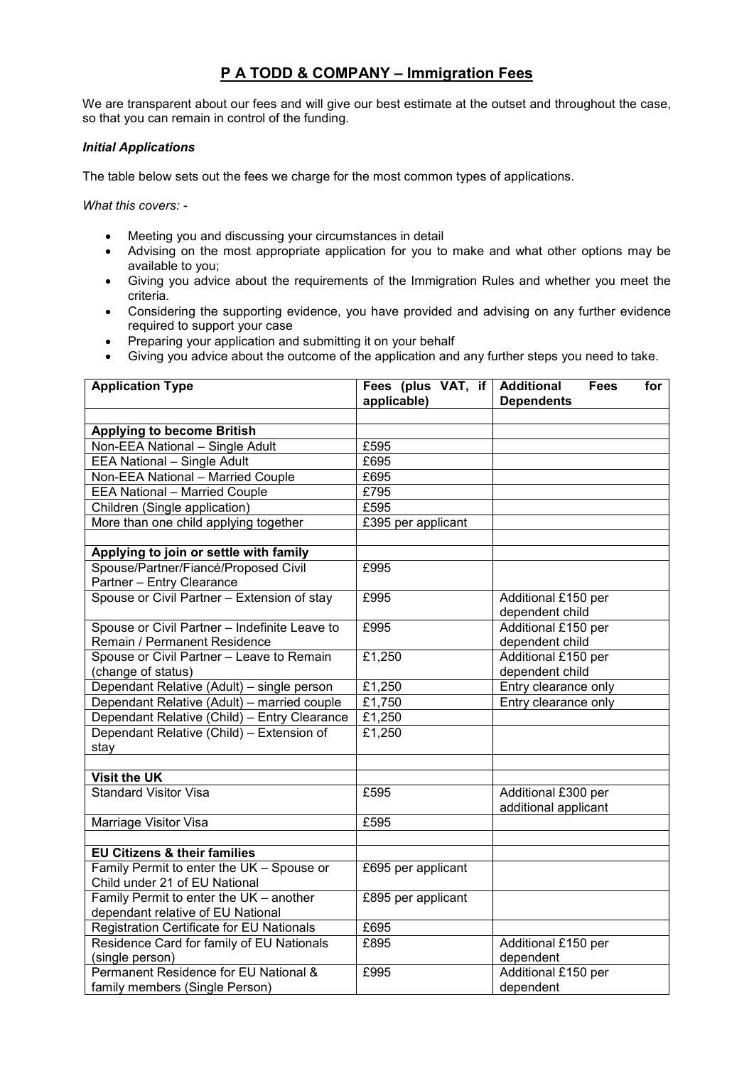## **P A TODD & COMPANY – Immigration Fees**

We are transparent about our fees and will give our best estimate at the outset and throughout the case, so that you can remain in control of the funding.

## *Initial Applications*

The table below sets out the fees we charge for the most common types of applications.

*What this covers: -* 

- Meeting you and discussing your circumstances in detail
- Advising on the most appropriate application for you to make and what other options may be available to you;
- Giving you advice about the requirements of the Immigration Rules and whether you meet the criteria.
- Considering the supporting evidence, you have provided and advising on any further evidence required to support your case
- Preparing your application and submitting it on your behalf
- Giving you advice about the outcome of the application and any further steps you need to take.

| <b>Application Type</b>                       | Fees (plus VAT, if<br>applicable) | <b>Additional</b><br><b>Fees</b><br>for<br><b>Dependents</b> |
|-----------------------------------------------|-----------------------------------|--------------------------------------------------------------|
|                                               |                                   |                                                              |
| <b>Applying to become British</b>             |                                   |                                                              |
| Non-EEA National - Single Adult               | £595                              |                                                              |
| <b>EEA National - Single Adult</b>            | £695                              |                                                              |
| Non-EEA National - Married Couple             | £695                              |                                                              |
| <b>EEA National - Married Couple</b>          | £795                              |                                                              |
| Children (Single application)                 | £595                              |                                                              |
| More than one child applying together         | £395 per applicant                |                                                              |
|                                               |                                   |                                                              |
| Applying to join or settle with family        |                                   |                                                              |
| Spouse/Partner/Fiancé/Proposed Civil          | £995                              |                                                              |
| Partner - Entry Clearance                     |                                   |                                                              |
| Spouse or Civil Partner - Extension of stay   | £995                              | Additional £150 per                                          |
|                                               |                                   | dependent child                                              |
| Spouse or Civil Partner - Indefinite Leave to | £995                              | Additional £150 per                                          |
| Remain / Permanent Residence                  |                                   | dependent child                                              |
| Spouse or Civil Partner - Leave to Remain     | £1,250                            | Additional £150 per                                          |
| (change of status)                            |                                   | dependent child                                              |
| Dependant Relative (Adult) - single person    | £1,250                            | Entry clearance only                                         |
| Dependant Relative (Adult) - married couple   | £1,750                            | Entry clearance only                                         |
| Dependant Relative (Child) - Entry Clearance  | £1,250                            |                                                              |
| Dependant Relative (Child) - Extension of     | £1,250                            |                                                              |
| stay                                          |                                   |                                                              |
|                                               |                                   |                                                              |
| <b>Visit the UK</b>                           |                                   |                                                              |
| <b>Standard Visitor Visa</b>                  | £595                              | Additional £300 per                                          |
|                                               | £595                              | additional applicant                                         |
| Marriage Visitor Visa                         |                                   |                                                              |
| <b>EU Citizens &amp; their families</b>       |                                   |                                                              |
| Family Permit to enter the UK - Spouse or     | £695 per applicant                |                                                              |
| Child under 21 of EU National                 |                                   |                                                              |
| Family Permit to enter the UK - another       | £895 per applicant                |                                                              |
| dependant relative of EU National             |                                   |                                                              |
| Registration Certificate for EU Nationals     | £695                              |                                                              |
| Residence Card for family of EU Nationals     | £895                              | Additional £150 per                                          |
| (single person)                               |                                   | dependent                                                    |
| Permanent Residence for EU National &         | £995                              | Additional £150 per                                          |
| family members (Single Person)                |                                   | dependent                                                    |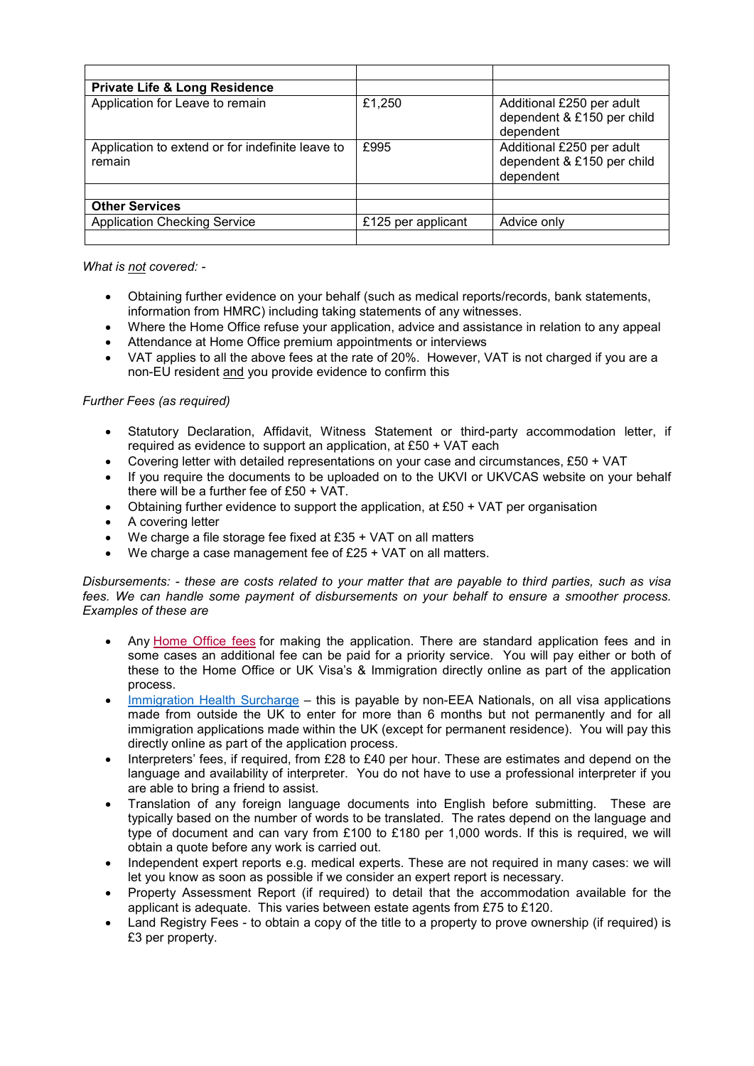| <b>Private Life &amp; Long Residence</b>                   |                    |                                                                      |
|------------------------------------------------------------|--------------------|----------------------------------------------------------------------|
| Application for Leave to remain                            | £1,250             | Additional £250 per adult<br>dependent & £150 per child<br>dependent |
| Application to extend or for indefinite leave to<br>remain | £995               | Additional £250 per adult<br>dependent & £150 per child<br>dependent |
|                                                            |                    |                                                                      |
| <b>Other Services</b>                                      |                    |                                                                      |
| <b>Application Checking Service</b>                        | £125 per applicant | Advice only                                                          |
|                                                            |                    |                                                                      |

*What is not covered: -* 

- Obtaining further evidence on your behalf (such as medical reports/records, bank statements, information from HMRC) including taking statements of any witnesses.
- Where the Home Office refuse your application, advice and assistance in relation to any appeal
- Attendance at Home Office premium appointments or interviews
- VAT applies to all the above fees at the rate of 20%. However, VAT is not charged if you are a non-EU resident and you provide evidence to confirm this

## *Further Fees (as required)*

- Statutory Declaration, Affidavit, Witness Statement or third-party accommodation letter, if required as evidence to support an application, at £50 + VAT each
- Covering letter with detailed representations on your case and circumstances, £50 + VAT
- If you require the documents to be uploaded on to the UKVI or UKVCAS website on your behalf there will be a further fee of £50 + VAT.
- Obtaining further evidence to support the application, at £50 + VAT per organisation
- A covering letter
- We charge a file storage fee fixed at £35 + VAT on all matters
- We charge a case management fee of £25 + VAT on all matters.

*Disbursements: - these are costs related to your matter that are payable to third parties, such as visa fees. We can handle some payment of disbursements on your behalf to ensure a smoother process. Examples of these are* 

- Any Home Office fees for making the application. There are standard application fees and in some cases an additional fee can be paid for a priority service. You will pay either or both of these to the Home Office or UK Visa's & Immigration directly online as part of the application process.
- Immigration Health Surcharge this is payable by non-EEA Nationals, on all visa applications made from outside the UK to enter for more than 6 months but not permanently and for all immigration applications made within the UK (except for permanent residence). You will pay this directly online as part of the application process.
- Interpreters' fees, if required, from £28 to £40 per hour. These are estimates and depend on the language and availability of interpreter. You do not have to use a professional interpreter if you are able to bring a friend to assist.
- Translation of any foreign language documents into English before submitting. These are typically based on the number of words to be translated. The rates depend on the language and type of document and can vary from £100 to £180 per 1,000 words. If this is required, we will obtain a quote before any work is carried out.
- Independent expert reports e.g. medical experts. These are not required in many cases: we will let you know as soon as possible if we consider an expert report is necessary.
- Property Assessment Report (if required) to detail that the accommodation available for the applicant is adequate. This varies between estate agents from £75 to £120.
- Land Registry Fees to obtain a copy of the title to a property to prove ownership (if required) is £3 per property.